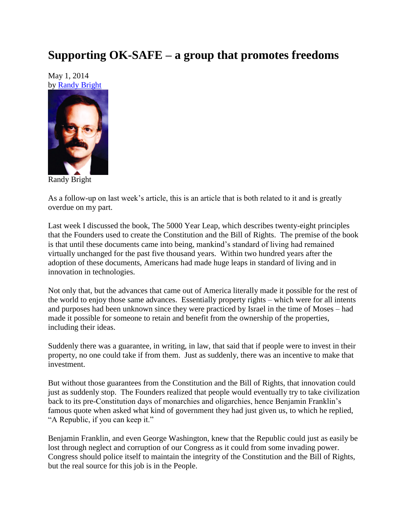## **Supporting OK-SAFE – a group that promotes freedoms**

May 1, 2014 by [Randy Bright](http://tulsabeacon.com/writers/randy-bright/)



Randy Bright

As a follow-up on last week's article, this is an article that is both related to it and is greatly overdue on my part.

Last week I discussed the book, The 5000 Year Leap, which describes twenty-eight principles that the Founders used to create the Constitution and the Bill of Rights. The premise of the book is that until these documents came into being, mankind's standard of living had remained virtually unchanged for the past five thousand years. Within two hundred years after the adoption of these documents, Americans had made huge leaps in standard of living and in innovation in technologies.

Not only that, but the advances that came out of America literally made it possible for the rest of the world to enjoy those same advances. Essentially property rights – which were for all intents and purposes had been unknown since they were practiced by Israel in the time of Moses – had made it possible for someone to retain and benefit from the ownership of the properties, including their ideas.

Suddenly there was a guarantee, in writing, in law, that said that if people were to invest in their property, no one could take if from them. Just as suddenly, there was an incentive to make that investment.

But without those guarantees from the Constitution and the Bill of Rights, that innovation could just as suddenly stop. The Founders realized that people would eventually try to take civilization back to its pre-Constitution days of monarchies and oligarchies, hence Benjamin Franklin's famous quote when asked what kind of government they had just given us, to which he replied, "A Republic, if you can keep it."

Benjamin Franklin, and even George Washington, knew that the Republic could just as easily be lost through neglect and corruption of our Congress as it could from some invading power. Congress should police itself to maintain the integrity of the Constitution and the Bill of Rights, but the real source for this job is in the People.